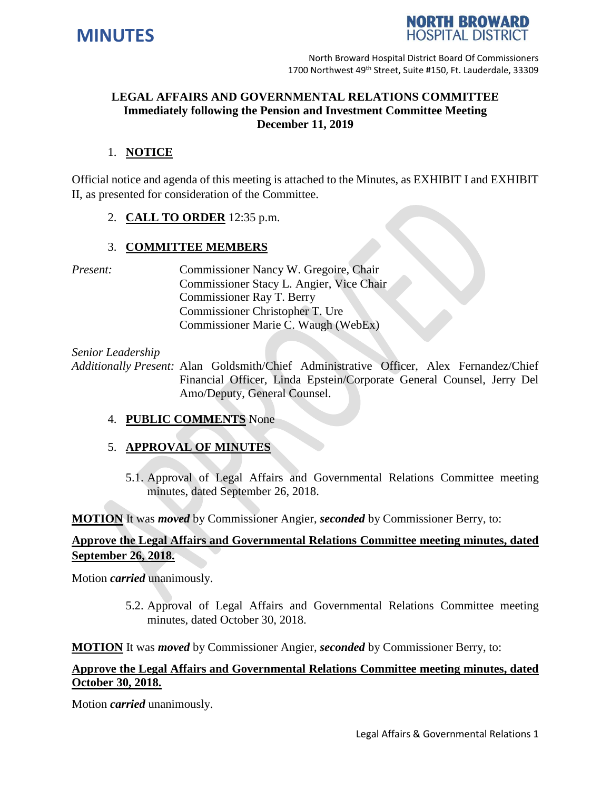



North Broward Hospital District Board Of Commissioners 1700 Northwest 49<sup>th</sup> Street, Suite #150, Ft. Lauderdale, 33309

# **LEGAL AFFAIRS AND GOVERNMENTAL RELATIONS COMMITTEE Immediately following the Pension and Investment Committee Meeting December 11, 2019**

### 1. **NOTICE**

Official notice and agenda of this meeting is attached to the Minutes, as EXHIBIT I and EXHIBIT II, as presented for consideration of the Committee.

2. **CALL TO ORDER** 12:35 p.m.

### 3. **COMMITTEE MEMBERS**

*Present:* Commissioner Nancy W. Gregoire, Chair Commissioner Stacy L. Angier, Vice Chair Commissioner Ray T. Berry Commissioner Christopher T. Ure Commissioner Marie C. Waugh (WebEx)

*Senior Leadership*

*Additionally Present:* Alan Goldsmith/Chief Administrative Officer, Alex Fernandez/Chief Financial Officer, Linda Epstein/Corporate General Counsel, Jerry Del Amo/Deputy, General Counsel.

### 4. **PUBLIC COMMENTS** None

## 5. **APPROVAL OF MINUTES**

5.1. Approval of Legal Affairs and Governmental Relations Committee meeting minutes, dated September 26, 2018.

**MOTION** It was *moved* by Commissioner Angier, *seconded* by Commissioner Berry, to:

### **Approve the Legal Affairs and Governmental Relations Committee meeting minutes, dated September 26, 2018.**

Motion *carried* unanimously.

5.2. Approval of Legal Affairs and Governmental Relations Committee meeting minutes, dated October 30, 2018.

**MOTION** It was *moved* by Commissioner Angier, *seconded* by Commissioner Berry, to:

## **Approve the Legal Affairs and Governmental Relations Committee meeting minutes, dated October 30, 2018.**

Motion *carried* unanimously.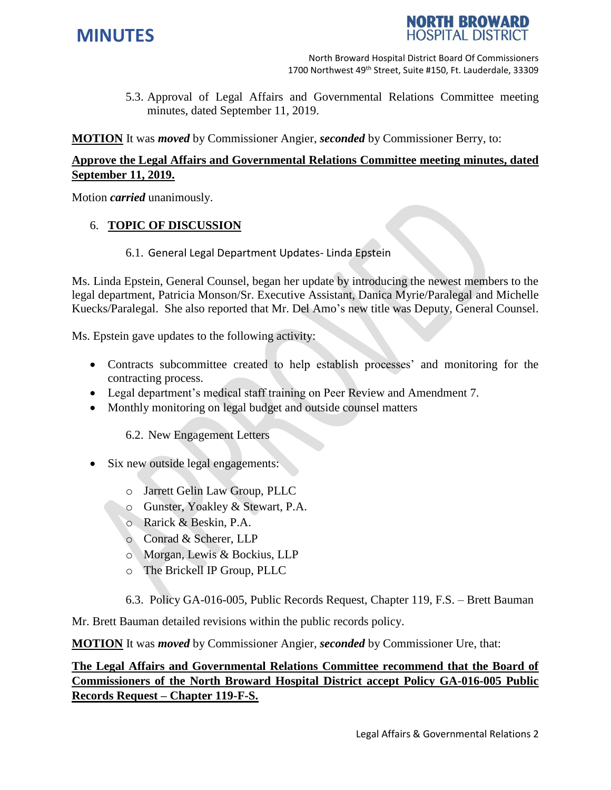



North Broward Hospital District Board Of Commissioners 1700 Northwest 49<sup>th</sup> Street, Suite #150, Ft. Lauderdale, 33309

5.3. Approval of Legal Affairs and Governmental Relations Committee meeting minutes, dated September 11, 2019.

**MOTION** It was *moved* by Commissioner Angier, *seconded* by Commissioner Berry, to:

# **Approve the Legal Affairs and Governmental Relations Committee meeting minutes, dated September 11, 2019.**

Motion *carried* unanimously.

## 6. **TOPIC OF DISCUSSION**

6.1. General Legal Department Updates- Linda Epstein

Ms. Linda Epstein, General Counsel, began her update by introducing the newest members to the legal department, Patricia Monson/Sr. Executive Assistant, Danica Myrie/Paralegal and Michelle Kuecks/Paralegal. She also reported that Mr. Del Amo's new title was Deputy, General Counsel.

Ms. Epstein gave updates to the following activity:

- Contracts subcommittee created to help establish processes' and monitoring for the contracting process.
- Legal department's medical staff training on Peer Review and Amendment 7.
- Monthly monitoring on legal budget and outside counsel matters

6.2. New Engagement Letters

- Six new outside legal engagements:
	- o Jarrett Gelin Law Group, PLLC
	- o Gunster, Yoakley & Stewart, P.A.
	- o Rarick & Beskin, P.A.
	- o Conrad & Scherer, LLP
	- o Morgan, Lewis & Bockius, LLP
	- o The Brickell IP Group, PLLC
	- 6.3. Policy GA-016-005, Public Records Request, Chapter 119, F.S. Brett Bauman

Mr. Brett Bauman detailed revisions within the public records policy.

**MOTION** It was *moved* by Commissioner Angier, *seconded* by Commissioner Ure, that:

# **The Legal Affairs and Governmental Relations Committee recommend that the Board of Commissioners of the North Broward Hospital District accept Policy GA-016-005 Public Records Request – Chapter 119-F-S.**